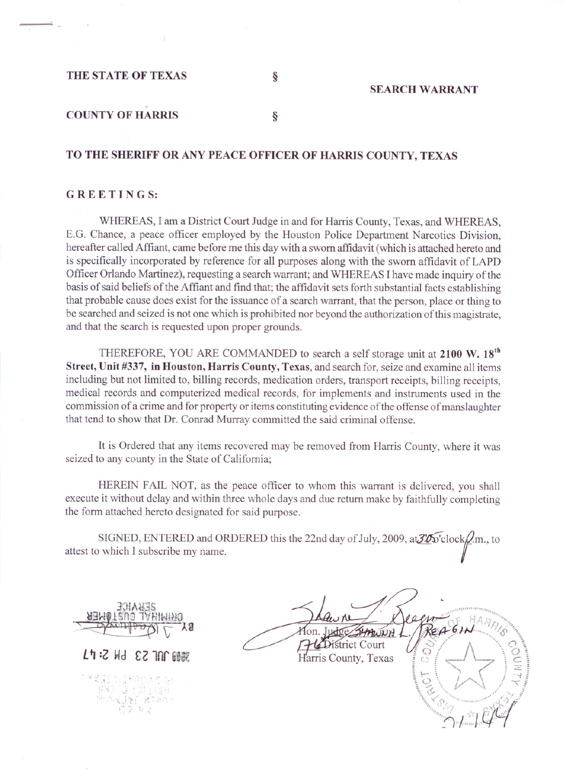### THE STATE OF TEXAS

SEARCH WARRANT

## COUNTY OF HARRIS

TO THE SHERIFF OR ANY PEACE OFFICER OF HARRIS COUNTY, TEXAS

#### G R E E TIN G S:

WHEREAS, I am a District Court Judge in and for Harris County, Texas, and WHEREAS, E.G. Chance, a peace officer employed by the Houston Police Department Narcotics Division, hereafter called Affiant, came before me this day with a sworn affidavit (which is attached hereto and is specifically incorporated by reference for all purposes along with the sworn affidavit of LAPD Officer Orlando Martinez), requesting a search warrant; and WHEREAS I have made inquiry of the basis of said beliefs of the Affiant and find that; the affidavit sets forth substantial facts establishing that probable cause does exist for the issuance of a search warrant, that the person, place or thing to be searched and seized is not one which is prohibited nor beyond the authorization ofthis magistrate, and that the search is requested upon proper grounds.

THEREFORE, YOU ARE COMMANDED to search a self storage unit at 2100 W. 18<sup>th</sup> Street, Unit #337, in Houston, Harris County, Texas, and search for, seize and examine all items including but not limited to, billing records, medication orders, transport receipts, billing receipts, medical records and computerized medical records, for implements and instruments used in the commission of a crime and for property or items constituting evidence of the offense of manslaughter that tend to show that Dr. Conrad Murray committed the said criminal offense.

It is Ordered that any items recovered may be removed from Harris County, where it was seized to any county in the State of California;

HEREIN FAIL NOT, as the peace officer to whom this warrant is delivered, you shall execute it without delay and within three whole days and due return make by faithfully completing the form attached hereto designated for said purpose.

SIGNED, ENTERED and ORDERED this the 22nd day of July, 2009, at  $\frac{37}{8}$  clock $\frac{2}{1}$ m., to  $\mathcal{L}$  subscribe Eq. and day of  $\mathcal{L}$  at  $\mathcal{L}$  at  $\mathcal{L}$  at  $\mathcal{L}$ 

301AtlaS  $OMDIPRA$  $T_{\text{v}}$ 

*L~:2* Wd £21nr~6~

 $k$  . It is not

*J("~* • ,..,  $\mathbb{Z}^{\times}_{\mathcal{M}}$  ,  $\mathbb{Z}^{\times}_{\mathcal{M}}$  . The set of  $\mathcal{M}$ 

1:',,' -> •

ARP 18  $R$  $E$ A 6 HWDH. strict Court Ö Harris County, Texas

O

§

§